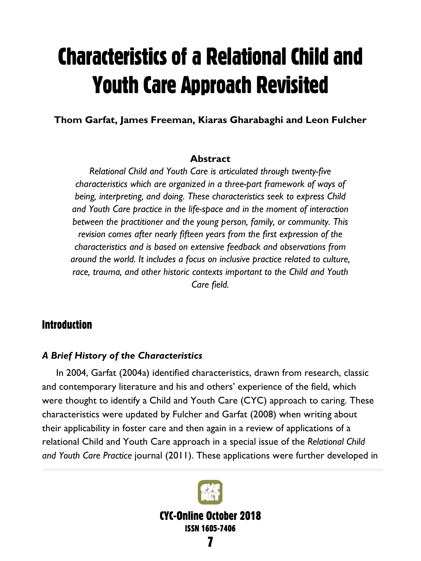# Characteristics of a Relational Child and Youth Care Approach Revisited

**Thom Garfat, James Freeman, Kiaras Gharabaghi and Leon Fulcher**

#### **Abstract**

*Relational Child and Youth Care is articulated through twenty-five characteristics which are organized in a three-part framework of ways of being, interpreting, and doing. These characteristics seek to express Child and Youth Care practice in the life-space and in the moment of interaction between the practitioner and the young person, family, or community. This revision comes after nearly fifteen years from the first expression of the characteristics and is based on extensive feedback and observations from around the world. It includes a focus on inclusive practice related to culture, race, trauma, and other historic contexts important to the Child and Youth Care field.*

# Introduction

#### *A Brief History of the Characteristics*

In 2004, Garfat (2004a) identified characteristics, drawn from research, classic and contemporary literature and his and others' experience of the field, which were thought to identify a Child and Youth Care (CYC) approach to caring. These characteristics were updated by Fulcher and Garfat (2008) when writing about their applicability in foster care and then again in a review of applications of a relational Child and Youth Care approach in a special issue of the *Relational Child and Youth Care Practice* journal (2011). These applications were further developed in

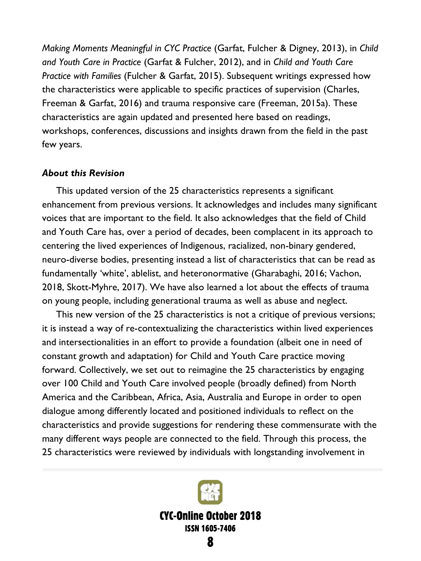*Making Moments Meaningful in CYC Practice* (Garfat, Fulcher & Digney, 2013), in *Child and Youth Care in Practice* (Garfat & Fulcher, 2012), and in *Child and Youth Care Practice with Families* (Fulcher & Garfat, 2015). Subsequent writings expressed how the characteristics were applicable to specific practices of supervision (Charles, Freeman & Garfat, 2016) and trauma responsive care (Freeman, 2015a). These characteristics are again updated and presented here based on readings, workshops, conferences, discussions and insights drawn from the field in the past few years.

#### *About this Revision*

This updated version of the 25 characteristics represents a significant enhancement from previous versions. It acknowledges and includes many significant voices that are important to the field. It also acknowledges that the field of Child and Youth Care has, over a period of decades, been complacent in its approach to centering the lived experiences of Indigenous, racialized, non-binary gendered, neuro-diverse bodies, presenting instead a list of characteristics that can be read as fundamentally 'white', ablelist, and heteronormative (Gharabaghi, 2016; Vachon, 2018, Skott-Myhre, 2017). We have also learned a lot about the effects of trauma on young people, including generational trauma as well as abuse and neglect.

This new version of the 25 characteristics is not a critique of previous versions; it is instead a way of re-contextualizing the characteristics within lived experiences and intersectionalities in an effort to provide a foundation (albeit one in need of constant growth and adaptation) for Child and Youth Care practice moving forward. Collectively, we set out to reimagine the 25 characteristics by engaging over 100 Child and Youth Care involved people (broadly defined) from North America and the Caribbean, Africa, Asia, Australia and Europe in order to open dialogue among differently located and positioned individuals to reflect on the characteristics and provide suggestions for rendering these commensurate with the many different ways people are connected to the field. Through this process, the 25 characteristics were reviewed by individuals with longstanding involvement in

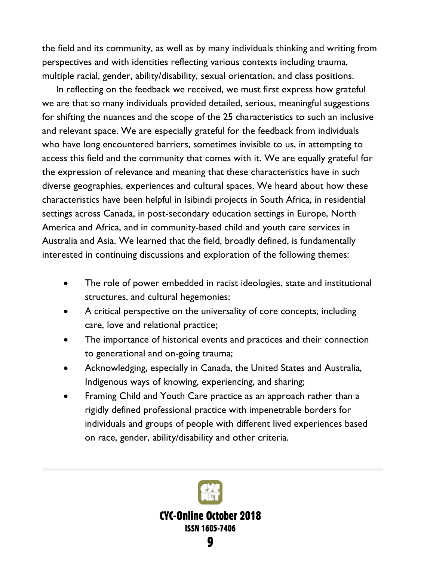the field and its community, as well as by many individuals thinking and writing from perspectives and with identities reflecting various contexts including trauma, multiple racial, gender, ability/disability, sexual orientation, and class positions.

In reflecting on the feedback we received, we must first express how grateful we are that so many individuals provided detailed, serious, meaningful suggestions for shifting the nuances and the scope of the 25 characteristics to such an inclusive and relevant space. We are especially grateful for the feedback from individuals who have long encountered barriers, sometimes invisible to us, in attempting to access this field and the community that comes with it. We are equally grateful for the expression of relevance and meaning that these characteristics have in such diverse geographies, experiences and cultural spaces. We heard about how these characteristics have been helpful in Isibindi projects in South Africa, in residential settings across Canada, in post-secondary education settings in Europe, North America and Africa, and in community-based child and youth care services in Australia and Asia. We learned that the field, broadly defined, is fundamentally interested in continuing discussions and exploration of the following themes:

- The role of power embedded in racist ideologies, state and institutional structures, and cultural hegemonies;
- A critical perspective on the universality of core concepts, including care, love and relational practice;
- The importance of historical events and practices and their connection to generational and on-going trauma;
- Acknowledging, especially in Canada, the United States and Australia, Indigenous ways of knowing, experiencing, and sharing;
- Framing Child and Youth Care practice as an approach rather than a rigidly defined professional practice with impenetrable borders for individuals and groups of people with different lived experiences based on race, gender, ability/disability and other criteria.

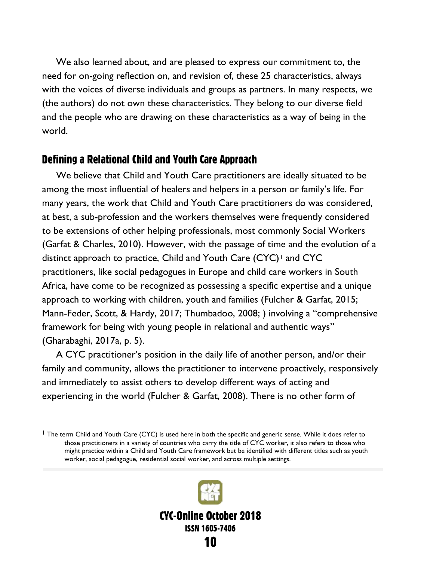We also learned about, and are pleased to express our commitment to, the need for on-going reflection on, and revision of, these 25 characteristics, always with the voices of diverse individuals and groups as partners. In many respects, we (the authors) do not own these characteristics. They belong to our diverse field and the people who are drawing on these characteristics as a way of being in the world.

# Defining a Relational Child and Youth Care Approach

We believe that Child and Youth Care practitioners are ideally situated to be among the most influential of healers and helpers in a person or family's life. For many years, the work that Child and Youth Care practitioners do was considered, at best, a sub-profession and the workers themselves were frequently considered to be extensions of other helping professionals, most commonly Social Workers (Garfat & Charles, 2010). However, with the passage of time and the evolution of a distinct approach to practice, Child and Youth Care (CYC)<sup>[1](#page-3-0)</sup> and CYC practitioners, like social pedagogues in Europe and child care workers in South Africa, have come to be recognized as possessing a specific expertise and a unique approach to working with children, youth and families (Fulcher & Garfat, 2015; Mann-Feder, Scott, & Hardy, 2017; Thumbadoo, 2008; ) involving a "comprehensive framework for being with young people in relational and authentic ways" (Gharabaghi, 2017a, p. 5).

A CYC practitioner's position in the daily life of another person, and/or their family and community, allows the practitioner to intervene proactively, responsively and immediately to assist others to develop different ways of acting and experiencing in the world (Fulcher & Garfat, 2008). There is no other form of

<span id="page-3-0"></span><sup>&</sup>lt;sup>1</sup> The term Child and Youth Care (CYC) is used here in both the specific and generic sense. While it does refer to those practitioners in a variety of countries who carry the title of CYC worker, it also refers to those who might practice within a Child and Youth Care framework but be identified with different titles such as youth worker, social pedagogue, residential social worker, and across multiple settings.

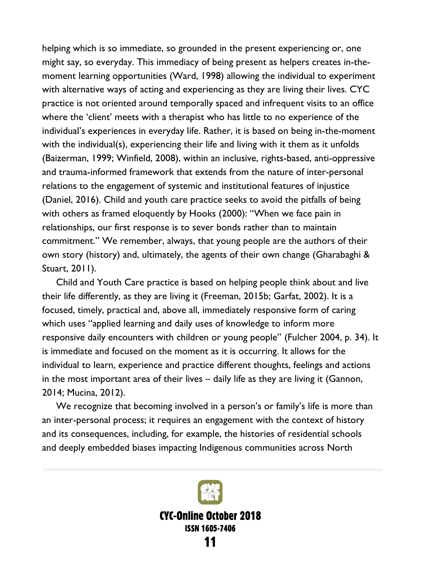helping which is so immediate, so grounded in the present experiencing or, one might say, so everyday. This immediacy of being present as helpers creates in-themoment learning opportunities (Ward, 1998) allowing the individual to experiment with alternative ways of acting and experiencing as they are living their lives. CYC practice is not oriented around temporally spaced and infrequent visits to an office where the 'client' meets with a therapist who has little to no experience of the individual's experiences in everyday life. Rather, it is based on being in-the-moment with the individual(s), experiencing their life and living with it them as it unfolds (Baizerman, 1999; Winfield, 2008), within an inclusive, rights-based, anti-oppressive and trauma-informed framework that extends from the nature of inter-personal relations to the engagement of systemic and institutional features of injustice (Daniel, 2016). Child and youth care practice seeks to avoid the pitfalls of being with others as framed eloquently by Hooks (2000): "When we face pain in relationships, our first response is to sever bonds rather than to maintain commitment." We remember, always, that young people are the authors of their own story (history) and, ultimately, the agents of their own change (Gharabaghi & Stuart, 2011).

Child and Youth Care practice is based on helping people think about and live their life differently, as they are living it (Freeman, 2015b; Garfat, 2002). It is a focused, timely, practical and, above all, immediately responsive form of caring which uses "applied learning and daily uses of knowledge to inform more responsive daily encounters with children or young people" (Fulcher 2004, p. 34). It is immediate and focused on the moment as it is occurring. It allows for the individual to learn, experience and practice different thoughts, feelings and actions in the most important area of their lives – daily life as they are living it (Gannon, 2014; Mucina, 2012).

We recognize that becoming involved in a person's or family's life is more than an inter-personal process; it requires an engagement with the context of history and its consequences, including, for example, the histories of residential schools and deeply embedded biases impacting Indigenous communities across North

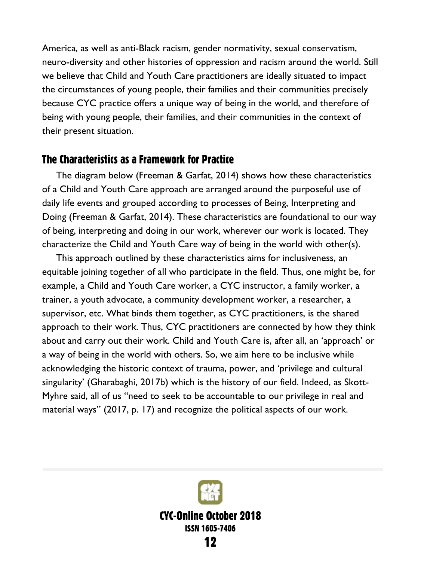America, as well as anti-Black racism, gender normativity, sexual conservatism, neuro-diversity and other histories of oppression and racism around the world. Still we believe that Child and Youth Care practitioners are ideally situated to impact the circumstances of young people, their families and their communities precisely because CYC practice offers a unique way of being in the world, and therefore of being with young people, their families, and their communities in the context of their present situation.

## The Characteristics as a Framework for Practice

The diagram below (Freeman & Garfat, 2014) shows how these characteristics of a Child and Youth Care approach are arranged around the purposeful use of daily life events and grouped according to processes of Being, Interpreting and Doing (Freeman & Garfat, 2014). These characteristics are foundational to our way of being, interpreting and doing in our work, wherever our work is located. They characterize the Child and Youth Care way of being in the world with other(s).

This approach outlined by these characteristics aims for inclusiveness, an equitable joining together of all who participate in the field. Thus, one might be, for example, a Child and Youth Care worker, a CYC instructor, a family worker, a trainer, a youth advocate, a community development worker, a researcher, a supervisor, etc. What binds them together, as CYC practitioners, is the shared approach to their work. Thus, CYC practitioners are connected by how they think about and carry out their work. Child and Youth Care is, after all, an 'approach' or a way of being in the world with others. So, we aim here to be inclusive while acknowledging the historic context of trauma, power, and 'privilege and cultural singularity' (Gharabaghi, 2017b) which is the history of our field. Indeed, as Skott-Myhre said, all of us "need to seek to be accountable to our privilege in real and material ways" (2017, p. 17) and recognize the political aspects of our work.

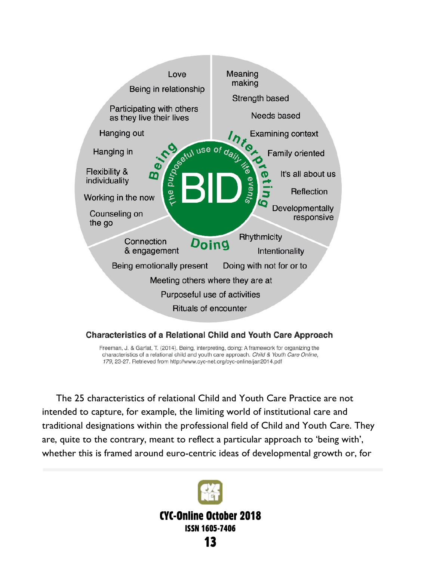

#### **Characteristics of a Relational Child and Youth Care Approach**

Freeman, J. & Garfat, T. (2014). Being, interpreting, doing: A framework for organizing the characteristics of a relational child and youth care approach. Child & Youth Care Online, 179, 23-27. Retrieved from http://www.cyc-net.org/cyc-online/jan2014.pdf

The 25 characteristics of relational Child and Youth Care Practice are not intended to capture, for example, the limiting world of institutional care and traditional designations within the professional field of Child and Youth Care. They are, quite to the contrary, meant to reflect a particular approach to 'being with', whether this is framed around euro-centric ideas of developmental growth or, for

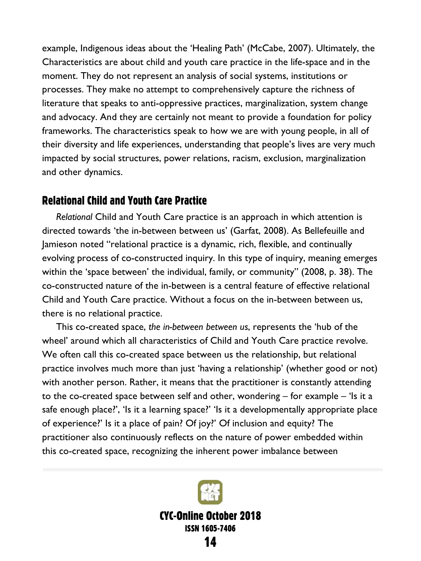example, Indigenous ideas about the 'Healing Path' (McCabe, 2007). Ultimately, the Characteristics are about child and youth care practice in the life-space and in the moment. They do not represent an analysis of social systems, institutions or processes. They make no attempt to comprehensively capture the richness of literature that speaks to anti-oppressive practices, marginalization, system change and advocacy. And they are certainly not meant to provide a foundation for policy frameworks. The characteristics speak to how we are with young people, in all of their diversity and life experiences, understanding that people's lives are very much impacted by social structures, power relations, racism, exclusion, marginalization and other dynamics.

# Relational Child and Youth Care Practice

*Relational* Child and Youth Care practice is an approach in which attention is directed towards 'the in-between between us' (Garfat, 2008). As Bellefeuille and Jamieson noted "relational practice is a dynamic, rich, flexible, and continually evolving process of co-constructed inquiry. In this type of inquiry, meaning emerges within the 'space between' the individual, family, or community" (2008, p. 38). The co-constructed nature of the in-between is a central feature of effective relational Child and Youth Care practice. Without a focus on the in-between between us, there is no relational practice.

This co-created space, *the in-between between us*, represents the 'hub of the wheel' around which all characteristics of Child and Youth Care practice revolve. We often call this co-created space between us the relationship, but relational practice involves much more than just 'having a relationship' (whether good or not) with another person. Rather, it means that the practitioner is constantly attending to the co-created space between self and other, wondering – for example – 'Is it a safe enough place?', 'Is it a learning space?' 'Is it a developmentally appropriate place of experience?' Is it a place of pain? Of joy?' Of inclusion and equity? The practitioner also continuously reflects on the nature of power embedded within this co-created space, recognizing the inherent power imbalance between

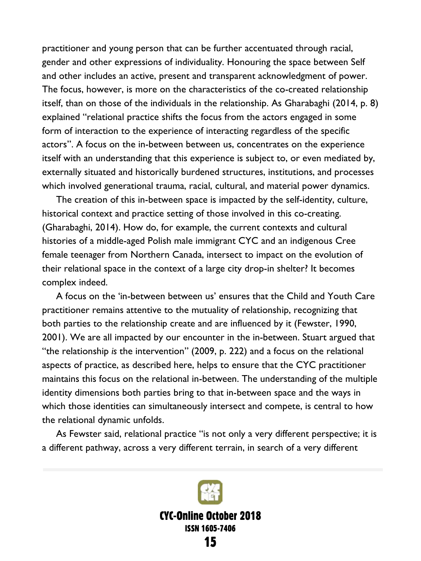practitioner and young person that can be further accentuated through racial, gender and other expressions of individuality. Honouring the space between Self and other includes an active, present and transparent acknowledgment of power. The focus, however, is more on the characteristics of the co-created relationship itself, than on those of the individuals in the relationship. As Gharabaghi (2014, p. 8) explained "relational practice shifts the focus from the actors engaged in some form of interaction to the experience of interacting regardless of the specific actors". A focus on the in-between between us, concentrates on the experience itself with an understanding that this experience is subject to, or even mediated by, externally situated and historically burdened structures, institutions, and processes which involved generational trauma, racial, cultural, and material power dynamics.

The creation of this in-between space is impacted by the self-identity, culture, historical context and practice setting of those involved in this co-creating. (Gharabaghi, 2014). How do, for example, the current contexts and cultural histories of a middle-aged Polish male immigrant CYC and an indigenous Cree female teenager from Northern Canada, intersect to impact on the evolution of their relational space in the context of a large city drop-in shelter? It becomes complex indeed.

A focus on the 'in-between between us' ensures that the Child and Youth Care practitioner remains attentive to the mutuality of relationship, recognizing that both parties to the relationship create and are influenced by it (Fewster, 1990, 2001). We are all impacted by our encounter in the in-between. Stuart argued that "the relationship *is* the intervention" (2009, p. 222) and a focus on the relational aspects of practice, as described here, helps to ensure that the CYC practitioner maintains this focus on the relational in-between. The understanding of the multiple identity dimensions both parties bring to that in-between space and the ways in which those identities can simultaneously intersect and compete, is central to how the relational dynamic unfolds.

As Fewster said, relational practice "is not only a very different perspective; it is a different pathway, across a very different terrain, in search of a very different

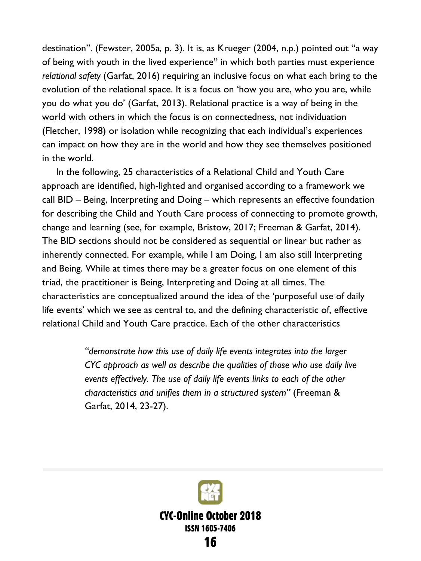destination". (Fewster, 2005a, p. 3). It is, as Krueger (2004, n.p.) pointed out "a way of being with youth in the lived experience" in which both parties must experience *relational safety* (Garfat, 2016) requiring an inclusive focus on what each bring to the evolution of the relational space. It is a focus on 'how you are, who you are, while you do what you do' (Garfat, 2013). Relational practice is a way of being in the world with others in which the focus is on connectedness, not individuation (Fletcher, 1998) or isolation while recognizing that each individual's experiences can impact on how they are in the world and how they see themselves positioned in the world.

In the following, 25 characteristics of a Relational Child and Youth Care approach are identified, high-lighted and organised according to a framework we call BID – Being, Interpreting and Doing – which represents an effective foundation for describing the Child and Youth Care process of connecting to promote growth, change and learning (see, for example, Bristow, 2017; Freeman & Garfat, 2014). The BID sections should not be considered as sequential or linear but rather as inherently connected. For example, while I am Doing, I am also still Interpreting and Being. While at times there may be a greater focus on one element of this triad, the practitioner is Being, Interpreting and Doing at all times. The characteristics are conceptualized around the idea of the 'purposeful use of daily life events' which we see as central to, and the defining characteristic of, effective relational Child and Youth Care practice. Each of the other characteristics

> *"demonstrate how this use of daily life events integrates into the larger CYC approach as well as describe the qualities of those who use daily live events effectively. The use of daily life events links to each of the other characteristics and unifies them in a structured system"* (Freeman & Garfat, 2014, 23-27).

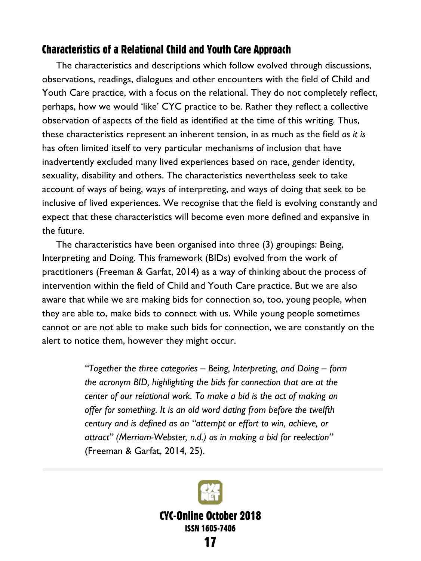# Characteristics of a Relational Child and Youth Care Approach

The characteristics and descriptions which follow evolved through discussions, observations, readings, dialogues and other encounters with the field of Child and Youth Care practice, with a focus on the relational. They do not completely reflect, perhaps, how we would 'like' CYC practice to be. Rather they reflect a collective observation of aspects of the field as identified at the time of this writing. Thus, these characteristics represent an inherent tension, in as much as the field *as it is* has often limited itself to very particular mechanisms of inclusion that have inadvertently excluded many lived experiences based on race, gender identity, sexuality, disability and others. The characteristics nevertheless seek to take account of ways of being, ways of interpreting, and ways of doing that seek to be inclusive of lived experiences. We recognise that the field is evolving constantly and expect that these characteristics will become even more defined and expansive in the future.

The characteristics have been organised into three (3) groupings: Being, Interpreting and Doing. This framework (BIDs) evolved from the work of practitioners (Freeman & Garfat, 2014) as a way of thinking about the process of intervention within the field of Child and Youth Care practice. But we are also aware that while we are making bids for connection so, too, young people, when they are able to, make bids to connect with us. While young people sometimes cannot or are not able to make such bids for connection, we are constantly on the alert to notice them, however they might occur.

> *"Together the three categories – Being, Interpreting, and Doing – form the acronym BID, highlighting the bids for connection that are at the center of our relational work. To make a bid is the act of making an offer for something. It is an old word dating from before the twelfth century and is defined as an "attempt or effort to win, achieve, or attract" (Merriam-Webster, n.d.) as in making a bid for reelection"*  (Freeman & Garfat, 2014, 25).

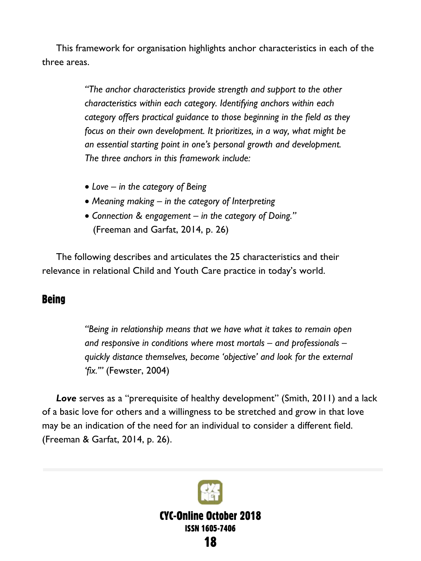This framework for organisation highlights anchor characteristics in each of the three areas.

> *"The anchor characteristics provide strength and support to the other characteristics within each category. Identifying anchors within each category offers practical guidance to those beginning in the field as they focus on their own development. It prioritizes, in a way, what might be an essential starting point in one's personal growth and development. The three anchors in this framework include:*

- *Love – in the category of Being*
- *Meaning making – in the category of Interpreting*
- *Connection & engagement – in the category of Doing."* (Freeman and Garfat, 2014, p. 26)

The following describes and articulates the 25 characteristics and their relevance in relational Child and Youth Care practice in today's world.

## Being

*"Being in relationship means that we have what it takes to remain open and responsive in conditions where most mortals – and professionals – quickly distance themselves, become 'objective' and look for the external 'fix.'"* (Fewster, 2004)

*Love* serves as a "prerequisite of healthy development" (Smith, 2011) and a lack of a basic love for others and a willingness to be stretched and grow in that love may be an indication of the need for an individual to consider a different field. (Freeman & Garfat, 2014, p. 26).

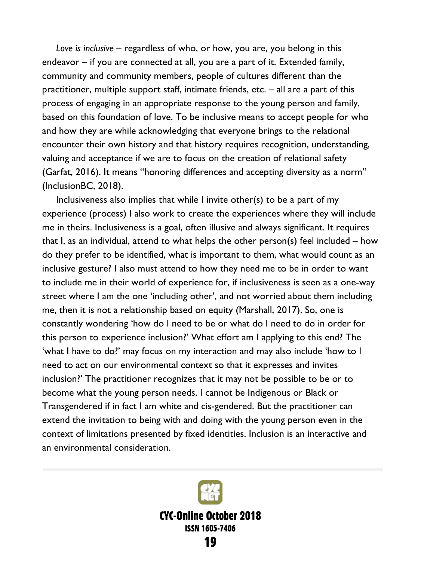*Love is inclusive* – regardless of who, or how, you are, you belong in this endeavor – if you are connected at all, you are a part of it. Extended family, community and community members, people of cultures different than the practitioner, multiple support staff, intimate friends, etc. – all are a part of this process of engaging in an appropriate response to the young person and family, based on this foundation of love. To be inclusive means to accept people for who and how they are while acknowledging that everyone brings to the relational encounter their own history and that history requires recognition, understanding, valuing and acceptance if we are to focus on the creation of relational safety (Garfat, 2016). It means "honoring differences and accepting diversity as a norm" (InclusionBC, 2018).

Inclusiveness also implies that while I invite other(s) to be a part of my experience (process) I also work to create the experiences where they will include me in theirs. Inclusiveness is a goal, often illusive and always significant. It requires that I, as an individual, attend to what helps the other person(s) feel included – how do they prefer to be identified, what is important to them, what would count as an inclusive gesture? I also must attend to how they need me to be in order to want to include me in their world of experience for, if inclusiveness is seen as a one-way street where I am the one 'including other', and not worried about them including me, then it is not a relationship based on equity (Marshall, 2017). So, one is constantly wondering 'how do I need to be or what do I need to do in order for this person to experience inclusion?' What effort am I applying to this end? The 'what I have to do?' may focus on my interaction and may also include 'how to I need to act on our environmental context so that it expresses and invites inclusion?' The practitioner recognizes that it may not be possible to be or to become what the young person needs. I cannot be Indigenous or Black or Transgendered if in fact I am white and cis-gendered. But the practitioner can extend the invitation to being with and doing with the young person even in the context of limitations presented by fixed identities. Inclusion is an interactive and an environmental consideration.

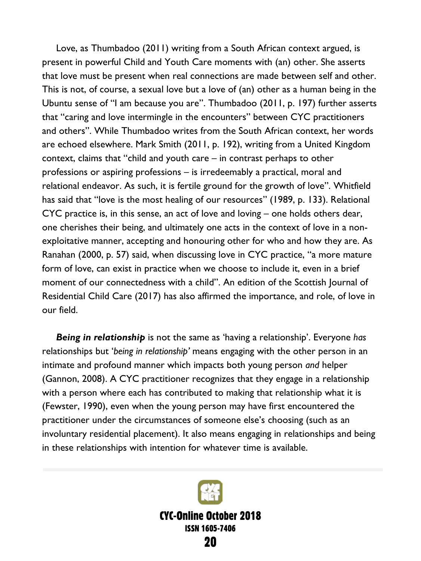Love, as Thumbadoo (2011) writing from a South African context argued, is present in powerful Child and Youth Care moments with (an) other. She asserts that love must be present when real connections are made between self and other. This is not, of course, a sexual love but a love of (an) other as a human being in the Ubuntu sense of "I am because you are". Thumbadoo (2011, p. 197) further asserts that "caring and love intermingle in the encounters" between CYC practitioners and others". While Thumbadoo writes from the South African context, her words are echoed elsewhere. Mark Smith (2011, p. 192), writing from a United Kingdom context, claims that "child and youth care – in contrast perhaps to other professions or aspiring professions – is irredeemably a practical, moral and relational endeavor. As such, it is fertile ground for the growth of love". Whitfield has said that "love is the most healing of our resources" (1989, p. 133). Relational CYC practice is, in this sense, an act of love and loving – one holds others dear, one cherishes their being, and ultimately one acts in the context of love in a nonexploitative manner, accepting and honouring other for who and how they are. As Ranahan (2000, p. 57) said, when discussing love in CYC practice, "a more mature form of love, can exist in practice when we choose to include it, even in a brief moment of our connectedness with a child". An edition of the Scottish Journal of Residential Child Care (2017) has also affirmed the importance, and role, of love in our field.

*Being in relationship* is not the same as 'having a relationship'. Everyone *has* relationships but '*being in relationship'* means engaging with the other person in an intimate and profound manner which impacts both young person *and* helper (Gannon, 2008). A CYC practitioner recognizes that they engage in a relationship with a person where each has contributed to making that relationship what it is (Fewster, 1990), even when the young person may have first encountered the practitioner under the circumstances of someone else's choosing (such as an involuntary residential placement). It also means engaging in relationships and being in these relationships with intention for whatever time is available.

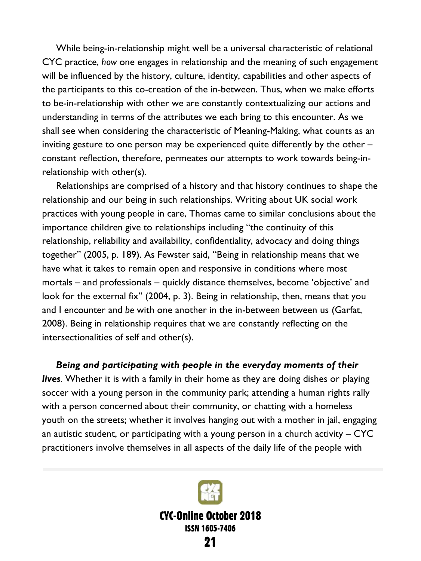While being-in-relationship might well be a universal characteristic of relational CYC practice, *how* one engages in relationship and the meaning of such engagement will be influenced by the history, culture, identity, capabilities and other aspects of the participants to this co-creation of the in-between. Thus, when we make efforts to be-in-relationship with other we are constantly contextualizing our actions and understanding in terms of the attributes we each bring to this encounter. As we shall see when considering the characteristic of Meaning-Making, what counts as an inviting gesture to one person may be experienced quite differently by the other – constant reflection, therefore, permeates our attempts to work towards being-inrelationship with other(s).

Relationships are comprised of a history and that history continues to shape the relationship and our being in such relationships. Writing about UK social work practices with young people in care, Thomas came to similar conclusions about the importance children give to relationships including "the continuity of this relationship, reliability and availability, confidentiality, advocacy and doing things together" (2005, p. 189). As Fewster said, "Being in relationship means that we have what it takes to remain open and responsive in conditions where most mortals – and professionals – quickly distance themselves, become 'objective' and look for the external fix" (2004, p. 3). Being in relationship, then, means that you and I encounter and *be* with one another in the in-between between us (Garfat, 2008). Being in relationship requires that we are constantly reflecting on the intersectionalities of self and other(s).

*Being and participating with people in the everyday moments of their lives*. Whether it is with a family in their home as they are doing dishes or playing soccer with a young person in the community park; attending a human rights rally with a person concerned about their community, or chatting with a homeless youth on the streets; whether it involves hanging out with a mother in jail, engaging an autistic student, or participating with a young person in a church activity – CYC practitioners involve themselves in all aspects of the daily life of the people with

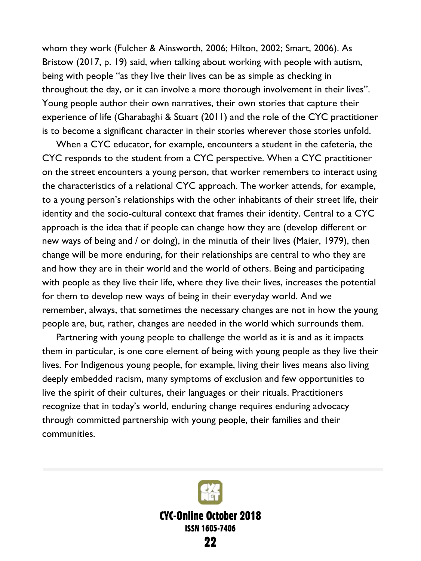whom they work (Fulcher & Ainsworth, 2006; Hilton, 2002; Smart, 2006). As Bristow (2017, p. 19) said, when talking about working with people with autism, being with people "as they live their lives can be as simple as checking in throughout the day, or it can involve a more thorough involvement in their lives". Young people author their own narratives, their own stories that capture their experience of life (Gharabaghi & Stuart (2011) and the role of the CYC practitioner is to become a significant character in their stories wherever those stories unfold.

When a CYC educator, for example, encounters a student in the cafeteria, the CYC responds to the student from a CYC perspective. When a CYC practitioner on the street encounters a young person, that worker remembers to interact using the characteristics of a relational CYC approach. The worker attends, for example, to a young person's relationships with the other inhabitants of their street life, their identity and the socio-cultural context that frames their identity. Central to a CYC approach is the idea that if people can change how they are (develop different or new ways of being and / or doing), in the minutia of their lives (Maier, 1979), then change will be more enduring, for their relationships are central to who they are and how they are in their world and the world of others. Being and participating with people as they live their life, where they live their lives, increases the potential for them to develop new ways of being in their everyday world. And we remember, always, that sometimes the necessary changes are not in how the young people are, but, rather, changes are needed in the world which surrounds them.

Partnering with young people to challenge the world as it is and as it impacts them in particular, is one core element of being with young people as they live their lives. For Indigenous young people, for example, living their lives means also living deeply embedded racism, many symptoms of exclusion and few opportunities to live the spirit of their cultures, their languages or their rituals. Practitioners recognize that in today's world, enduring change requires enduring advocacy through committed partnership with young people, their families and their communities.

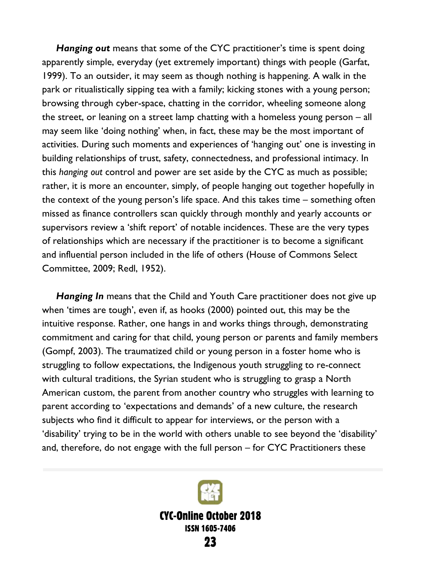*Hanging out* means that some of the CYC practitioner's time is spent doing apparently simple, everyday (yet extremely important) things with people (Garfat, 1999). To an outsider, it may seem as though nothing is happening. A walk in the park or ritualistically sipping tea with a family; kicking stones with a young person; browsing through cyber-space, chatting in the corridor, wheeling someone along the street, or leaning on a street lamp chatting with a homeless young person – all may seem like 'doing nothing' when, in fact, these may be the most important of activities. During such moments and experiences of 'hanging out' one is investing in building relationships of trust, safety, connectedness, and professional intimacy. In this *hanging out* control and power are set aside by the CYC as much as possible; rather, it is more an encounter, simply, of people hanging out together hopefully in the context of the young person's life space. And this takes time – something often missed as finance controllers scan quickly through monthly and yearly accounts or supervisors review a 'shift report' of notable incidences. These are the very types of relationships which are necessary if the practitioner is to become a significant and influential person included in the life of others (House of Commons Select Committee, 2009; Redl, 1952).

*Hanging In* means that the Child and Youth Care practitioner does not give up when 'times are tough', even if, as hooks (2000) pointed out, this may be the intuitive response. Rather, one hangs in and works things through, demonstrating commitment and caring for that child, young person or parents and family members (Gompf, 2003). The traumatized child or young person in a foster home who is struggling to follow expectations, the Indigenous youth struggling to re-connect with cultural traditions, the Syrian student who is struggling to grasp a North American custom, the parent from another country who struggles with learning to parent according to 'expectations and demands' of a new culture, the research subjects who find it difficult to appear for interviews, or the person with a 'disability' trying to be in the world with others unable to see beyond the 'disability' and, therefore, do not engage with the full person – for CYC Practitioners these

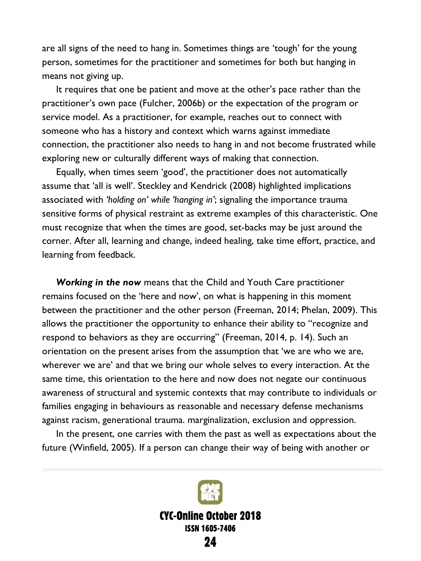are all signs of the need to hang in. Sometimes things are 'tough' for the young person, sometimes for the practitioner and sometimes for both but hanging in means not giving up.

It requires that one be patient and move at the other's pace rather than the practitioner's own pace (Fulcher, 2006b) or the expectation of the program or service model. As a practitioner, for example, reaches out to connect with someone who has a history and context which warns against immediate connection, the practitioner also needs to hang in and not become frustrated while exploring new or culturally different ways of making that connection.

Equally, when times seem 'good', the practitioner does not automatically assume that 'all is well'. Steckley and Kendrick (2008) highlighted implications associated with *'holding on' while 'hanging in'*; signaling the importance trauma sensitive forms of physical restraint as extreme examples of this characteristic. One must recognize that when the times are good, set-backs may be just around the corner. After all, learning and change, indeed healing, take time effort, practice, and learning from feedback.

*Working in the now* means that the Child and Youth Care practitioner remains focused on the 'here and now', on what is happening in this moment between the practitioner and the other person (Freeman, 2014; Phelan, 2009). This allows the practitioner the opportunity to enhance their ability to "recognize and respond to behaviors as they are occurring" (Freeman, 2014, p. 14). Such an orientation on the present arises from the assumption that 'we are who we are, wherever we are' and that we bring our whole selves to every interaction. At the same time, this orientation to the here and now does not negate our continuous awareness of structural and systemic contexts that may contribute to individuals or families engaging in behaviours as reasonable and necessary defense mechanisms against racism, generational trauma. marginalization, exclusion and oppression.

In the present, one carries with them the past as well as expectations about the future (Winfield, 2005). If a person can change their way of being with another or

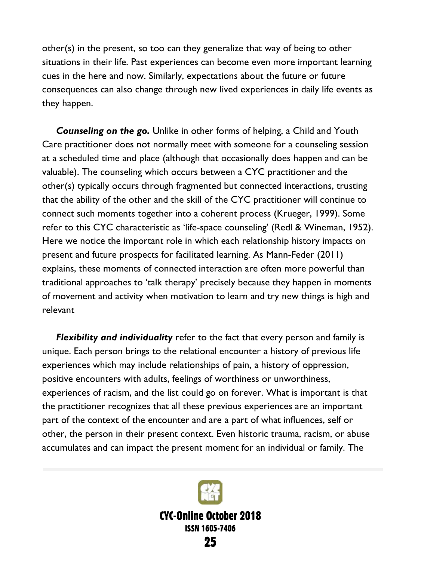other(s) in the present, so too can they generalize that way of being to other situations in their life. Past experiences can become even more important learning cues in the here and now. Similarly, expectations about the future or future consequences can also change through new lived experiences in daily life events as they happen.

*Counseling on the go.* Unlike in other forms of helping, a Child and Youth Care practitioner does not normally meet with someone for a counseling session at a scheduled time and place (although that occasionally does happen and can be valuable). The counseling which occurs between a CYC practitioner and the other(s) typically occurs through fragmented but connected interactions, trusting that the ability of the other and the skill of the CYC practitioner will continue to connect such moments together into a coherent process (Krueger, 1999). Some refer to this CYC characteristic as 'life-space counseling' (Redl & Wineman, 1952). Here we notice the important role in which each relationship history impacts on present and future prospects for facilitated learning. As Mann-Feder (2011) explains, these moments of connected interaction are often more powerful than traditional approaches to 'talk therapy' precisely because they happen in moments of movement and activity when motivation to learn and try new things is high and relevant

*Flexibility and individuality* refer to the fact that every person and family is unique. Each person brings to the relational encounter a history of previous life experiences which may include relationships of pain, a history of oppression, positive encounters with adults, feelings of worthiness or unworthiness, experiences of racism, and the list could go on forever. What is important is that the practitioner recognizes that all these previous experiences are an important part of the context of the encounter and are a part of what influences, self or other, the person in their present context. Even historic trauma, racism, or abuse accumulates and can impact the present moment for an individual or family. The

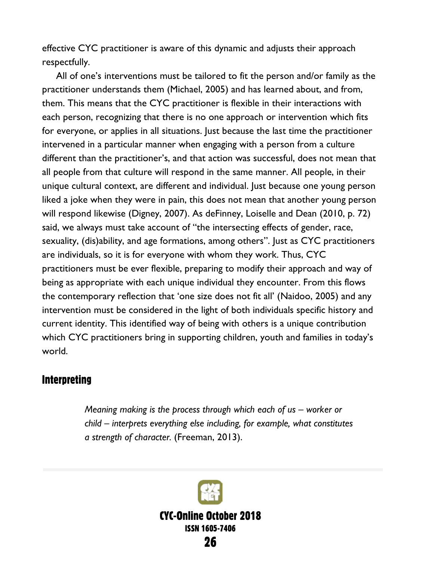effective CYC practitioner is aware of this dynamic and adjusts their approach respectfully.

All of one's interventions must be tailored to fit the person and/or family as the practitioner understands them (Michael, 2005) and has learned about, and from, them. This means that the CYC practitioner is flexible in their interactions with each person, recognizing that there is no one approach or intervention which fits for everyone, or applies in all situations. Just because the last time the practitioner intervened in a particular manner when engaging with a person from a culture different than the practitioner's, and that action was successful, does not mean that all people from that culture will respond in the same manner. All people, in their unique cultural context, are different and individual. Just because one young person liked a joke when they were in pain, this does not mean that another young person will respond likewise (Digney, 2007). As deFinney, Loiselle and Dean (2010, p. 72) said, we always must take account of "the intersecting effects of gender, race, sexuality, (dis)ability, and age formations, among others". Just as CYC practitioners are individuals, so it is for everyone with whom they work. Thus, CYC practitioners must be ever flexible, preparing to modify their approach and way of being as appropriate with each unique individual they encounter. From this flows the contemporary reflection that 'one size does not fit all' (Naidoo, 2005) and any intervention must be considered in the light of both individuals specific history and current identity. This identified way of being with others is a unique contribution which CYC practitioners bring in supporting children, youth and families in today's world.

# **Interpreting**

*Meaning making is the process through which each of us – worker or child – interprets everything else including, for example, what constitutes a strength of character.* (Freeman, 2013).

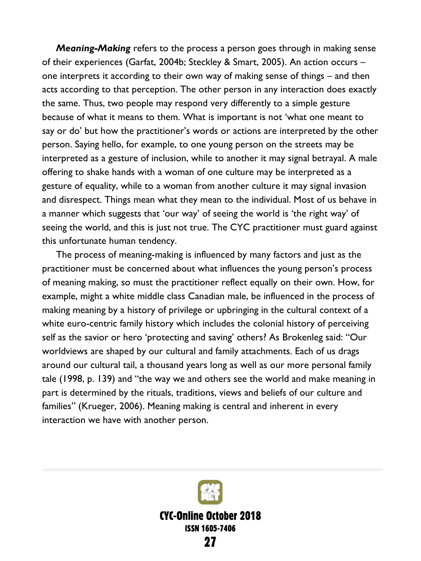*Meaning-Making* refers to the process a person goes through in making sense of their experiences (Garfat, 2004b; Steckley & Smart, 2005). An action occurs – one interprets it according to their own way of making sense of things – and then acts according to that perception. The other person in any interaction does exactly the same. Thus, two people may respond very differently to a simple gesture because of what it means to them. What is important is not 'what one meant to say or do' but how the practitioner's words or actions are interpreted by the other person. Saying hello, for example, to one young person on the streets may be interpreted as a gesture of inclusion, while to another it may signal betrayal. A male offering to shake hands with a woman of one culture may be interpreted as a gesture of equality, while to a woman from another culture it may signal invasion and disrespect. Things mean what they mean to the individual. Most of us behave in a manner which suggests that 'our way' of seeing the world is 'the right way' of seeing the world, and this is just not true. The CYC practitioner must guard against this unfortunate human tendency.

The process of meaning-making is influenced by many factors and just as the practitioner must be concerned about what influences the young person's process of meaning making, so must the practitioner reflect equally on their own. How, for example, might a white middle class Canadian male, be influenced in the process of making meaning by a history of privilege or upbringing in the cultural context of a white euro-centric family history which includes the colonial history of perceiving self as the savior or hero 'protecting and saving' others? As Brokenleg said: "Our worldviews are shaped by our cultural and family attachments. Each of us drags around our cultural tail, a thousand years long as well as our more personal family tale (1998, p. 139) and "the way we and others see the world and make meaning in part is determined by the rituals, traditions, views and beliefs of our culture and families" (Krueger, 2006). Meaning making is central and inherent in every interaction we have with another person.

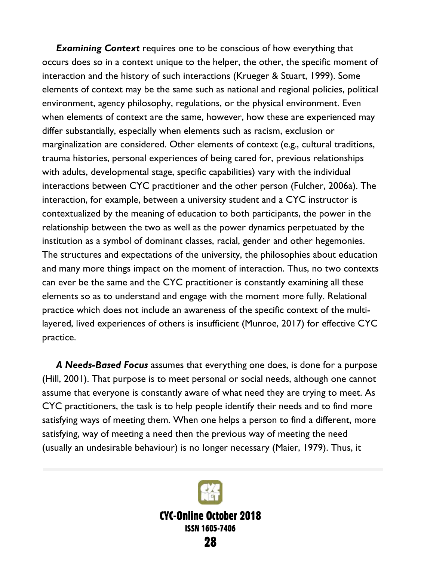*Examining Context* requires one to be conscious of how everything that occurs does so in a context unique to the helper, the other, the specific moment of interaction and the history of such interactions (Krueger & Stuart, 1999). Some elements of context may be the same such as national and regional policies, political environment, agency philosophy, regulations, or the physical environment. Even when elements of context are the same, however, how these are experienced may differ substantially, especially when elements such as racism, exclusion or marginalization are considered. Other elements of context (e.g., cultural traditions, trauma histories, personal experiences of being cared for, previous relationships with adults, developmental stage, specific capabilities) vary with the individual interactions between CYC practitioner and the other person (Fulcher, 2006a). The interaction, for example, between a university student and a CYC instructor is contextualized by the meaning of education to both participants, the power in the relationship between the two as well as the power dynamics perpetuated by the institution as a symbol of dominant classes, racial, gender and other hegemonies. The structures and expectations of the university, the philosophies about education and many more things impact on the moment of interaction. Thus, no two contexts can ever be the same and the CYC practitioner is constantly examining all these elements so as to understand and engage with the moment more fully. Relational practice which does not include an awareness of the specific context of the multilayered, lived experiences of others is insufficient (Munroe, 2017) for effective CYC practice.

*A Needs-Based Focus* assumes that everything one does, is done for a purpose (Hill, 2001). That purpose is to meet personal or social needs, although one cannot assume that everyone is constantly aware of what need they are trying to meet. As CYC practitioners, the task is to help people identify their needs and to find more satisfying ways of meeting them. When one helps a person to find a different, more satisfying, way of meeting a need then the previous way of meeting the need (usually an undesirable behaviour) is no longer necessary (Maier, 1979). Thus, it

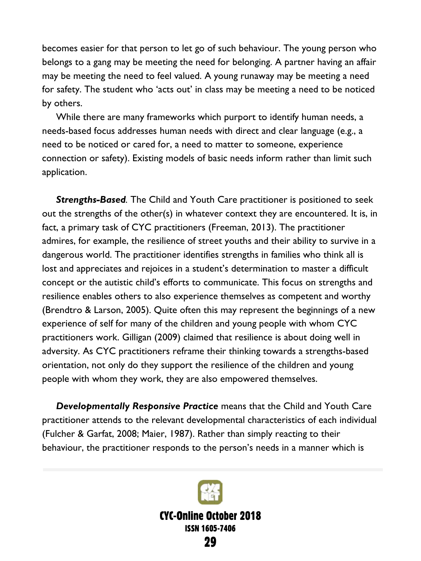becomes easier for that person to let go of such behaviour. The young person who belongs to a gang may be meeting the need for belonging. A partner having an affair may be meeting the need to feel valued. A young runaway may be meeting a need for safety. The student who 'acts out' in class may be meeting a need to be noticed by others.

While there are many frameworks which purport to identify human needs, a needs-based focus addresses human needs with direct and clear language (e.g., a need to be noticed or cared for, a need to matter to someone, experience connection or safety). Existing models of basic needs inform rather than limit such application.

*Strengths-Based.* The Child and Youth Care practitioner is positioned to seek out the strengths of the other(s) in whatever context they are encountered. It is, in fact, a primary task of CYC practitioners (Freeman, 2013). The practitioner admires, for example, the resilience of street youths and their ability to survive in a dangerous world. The practitioner identifies strengths in families who think all is lost and appreciates and rejoices in a student's determination to master a difficult concept or the autistic child's efforts to communicate. This focus on strengths and resilience enables others to also experience themselves as competent and worthy (Brendtro & Larson, 2005). Quite often this may represent the beginnings of a new experience of self for many of the children and young people with whom CYC practitioners work. Gilligan (2009) claimed that resilience is about doing well in adversity. As CYC practitioners reframe their thinking towards a strengths-based orientation, not only do they support the resilience of the children and young people with whom they work, they are also empowered themselves.

*Developmentally Responsive Practice* means that the Child and Youth Care practitioner attends to the relevant developmental characteristics of each individual (Fulcher & Garfat, 2008; Maier, 1987). Rather than simply reacting to their behaviour, the practitioner responds to the person's needs in a manner which is

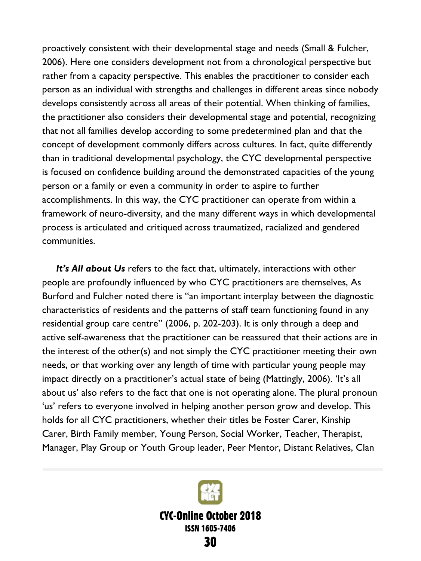proactively consistent with their developmental stage and needs (Small & Fulcher, 2006). Here one considers development not from a chronological perspective but rather from a capacity perspective. This enables the practitioner to consider each person as an individual with strengths and challenges in different areas since nobody develops consistently across all areas of their potential. When thinking of families, the practitioner also considers their developmental stage and potential, recognizing that not all families develop according to some predetermined plan and that the concept of development commonly differs across cultures. In fact, quite differently than in traditional developmental psychology, the CYC developmental perspective is focused on confidence building around the demonstrated capacities of the young person or a family or even a community in order to aspire to further accomplishments. In this way, the CYC practitioner can operate from within a framework of neuro-diversity, and the many different ways in which developmental process is articulated and critiqued across traumatized, racialized and gendered communities.

It's All about Us refers to the fact that, ultimately, interactions with other people are profoundly influenced by who CYC practitioners are themselves, As Burford and Fulcher noted there is "an important interplay between the diagnostic characteristics of residents and the patterns of staff team functioning found in any residential group care centre" (2006, p. 202-203). It is only through a deep and active self-awareness that the practitioner can be reassured that their actions are in the interest of the other(s) and not simply the CYC practitioner meeting their own needs, or that working over any length of time with particular young people may impact directly on a practitioner's actual state of being (Mattingly, 2006). 'It's all about us' also refers to the fact that one is not operating alone. The plural pronoun 'us' refers to everyone involved in helping another person grow and develop. This holds for all CYC practitioners, whether their titles be Foster Carer, Kinship Carer, Birth Family member, Young Person, Social Worker, Teacher, Therapist, Manager, Play Group or Youth Group leader, Peer Mentor, Distant Relatives, Clan

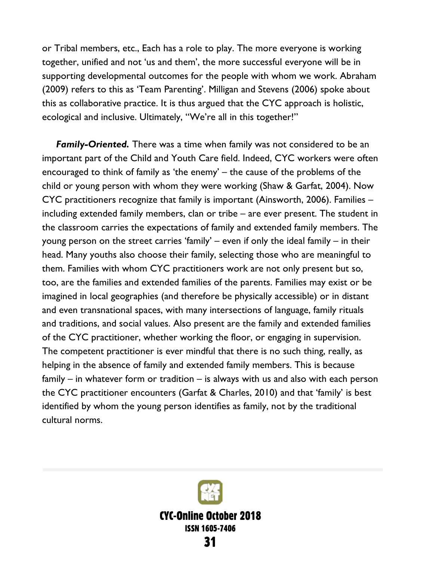or Tribal members, etc., Each has a role to play. The more everyone is working together, unified and not 'us and them', the more successful everyone will be in supporting developmental outcomes for the people with whom we work. Abraham (2009) refers to this as 'Team Parenting'. Milligan and Stevens (2006) spoke about this as collaborative practice. It is thus argued that the CYC approach is holistic, ecological and inclusive. Ultimately, "We're all in this together!"

*Family-Oriented.* There was a time when family was not considered to be an important part of the Child and Youth Care field. Indeed, CYC workers were often encouraged to think of family as 'the enemy' – the cause of the problems of the child or young person with whom they were working (Shaw & Garfat, 2004). Now CYC practitioners recognize that family is important (Ainsworth, 2006). Families – including extended family members, clan or tribe – are ever present. The student in the classroom carries the expectations of family and extended family members. The young person on the street carries 'family' – even if only the ideal family – in their head. Many youths also choose their family, selecting those who are meaningful to them. Families with whom CYC practitioners work are not only present but so, too, are the families and extended families of the parents. Families may exist or be imagined in local geographies (and therefore be physically accessible) or in distant and even transnational spaces, with many intersections of language, family rituals and traditions, and social values. Also present are the family and extended families of the CYC practitioner, whether working the floor, or engaging in supervision. The competent practitioner is ever mindful that there is no such thing, really, as helping in the absence of family and extended family members. This is because family – in whatever form or tradition – is always with us and also with each person the CYC practitioner encounters (Garfat & Charles, 2010) and that 'family' is best identified by whom the young person identifies as family, not by the traditional cultural norms.

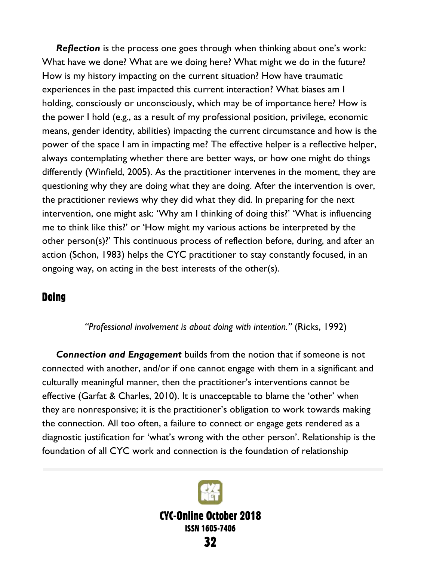*Reflection* is the process one goes through when thinking about one's work: What have we done? What are we doing here? What might we do in the future? How is my history impacting on the current situation? How have traumatic experiences in the past impacted this current interaction? What biases am I holding, consciously or unconsciously, which may be of importance here? How is the power I hold (e.g., as a result of my professional position, privilege, economic means, gender identity, abilities) impacting the current circumstance and how is the power of the space I am in impacting me? The effective helper is a reflective helper, always contemplating whether there are better ways, or how one might do things differently (Winfield, 2005). As the practitioner intervenes in the moment, they are questioning why they are doing what they are doing. After the intervention is over, the practitioner reviews why they did what they did. In preparing for the next intervention, one might ask: 'Why am I thinking of doing this?' 'What is influencing me to think like this?' or 'How might my various actions be interpreted by the other person(s)?' This continuous process of reflection before, during, and after an action (Schon, 1983) helps the CYC practitioner to stay constantly focused, in an ongoing way, on acting in the best interests of the other(s).

## Doing

*"Professional involvement is about doing with intention."* (Ricks, 1992)

*Connection and Engagement* builds from the notion that if someone is not connected with another, and/or if one cannot engage with them in a significant and culturally meaningful manner, then the practitioner's interventions cannot be effective (Garfat & Charles, 2010). It is unacceptable to blame the 'other' when they are nonresponsive; it is the practitioner's obligation to work towards making the connection. All too often, a failure to connect or engage gets rendered as a diagnostic justification for 'what's wrong with the other person'. Relationship is the foundation of all CYC work and connection is the foundation of relationship



32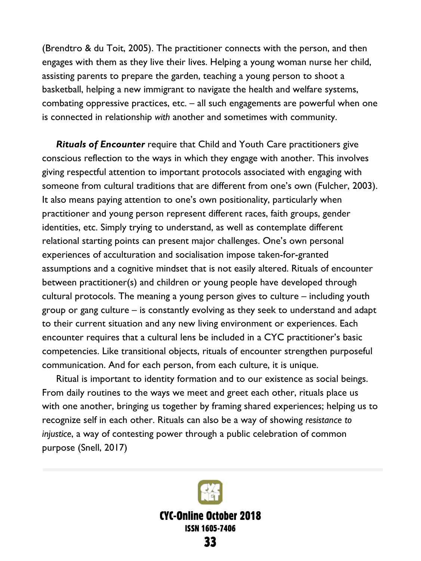(Brendtro & du Toit, 2005). The practitioner connects with the person, and then engages with them as they live their lives. Helping a young woman nurse her child, assisting parents to prepare the garden, teaching a young person to shoot a basketball, helping a new immigrant to navigate the health and welfare systems, combating oppressive practices, etc. – all such engagements are powerful when one is connected in relationship *with* another and sometimes with community.

*Rituals of Encounter* require that Child and Youth Care practitioners give conscious reflection to the ways in which they engage with another. This involves giving respectful attention to important protocols associated with engaging with someone from cultural traditions that are different from one's own (Fulcher, 2003). It also means paying attention to one's own positionality, particularly when practitioner and young person represent different races, faith groups, gender identities, etc. Simply trying to understand, as well as contemplate different relational starting points can present major challenges. One's own personal experiences of acculturation and socialisation impose taken-for-granted assumptions and a cognitive mindset that is not easily altered. Rituals of encounter between practitioner(s) and children or young people have developed through cultural protocols. The meaning a young person gives to culture – including youth group or gang culture – is constantly evolving as they seek to understand and adapt to their current situation and any new living environment or experiences. Each encounter requires that a cultural lens be included in a CYC practitioner's basic competencies. Like transitional objects, rituals of encounter strengthen purposeful communication. And for each person, from each culture, it is unique.

Ritual is important to identity formation and to our existence as social beings. From daily routines to the ways we meet and greet each other, rituals place us with one another, bringing us together by framing shared experiences; helping us to recognize self in each other. Rituals can also be a way of showing *resistance to injustice*, a way of contesting power through a public celebration of common purpose (Snell, 2017)

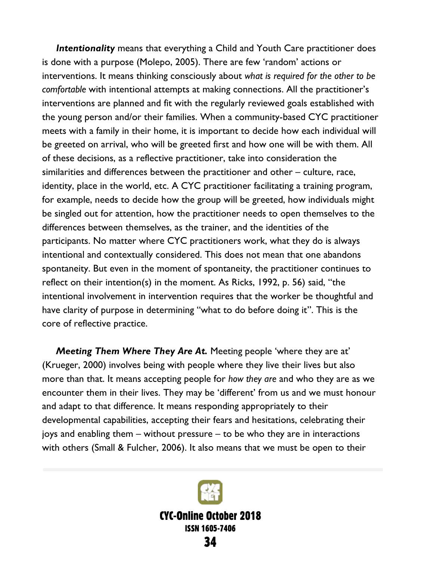*Intentionality* means that everything a Child and Youth Care practitioner does is done with a purpose (Molepo, 2005). There are few 'random' actions or interventions. It means thinking consciously about *what is required for the other to be comfortable* with intentional attempts at making connections. All the practitioner's interventions are planned and fit with the regularly reviewed goals established with the young person and/or their families. When a community-based CYC practitioner meets with a family in their home, it is important to decide how each individual will be greeted on arrival, who will be greeted first and how one will be with them. All of these decisions, as a reflective practitioner, take into consideration the similarities and differences between the practitioner and other – culture, race, identity, place in the world, etc. A CYC practitioner facilitating a training program, for example, needs to decide how the group will be greeted, how individuals might be singled out for attention, how the practitioner needs to open themselves to the differences between themselves, as the trainer, and the identities of the participants. No matter where CYC practitioners work, what they do is always intentional and contextually considered. This does not mean that one abandons spontaneity. But even in the moment of spontaneity, the practitioner continues to reflect on their intention(s) in the moment. As Ricks, 1992, p. 56) said, "the intentional involvement in intervention requires that the worker be thoughtful and have clarity of purpose in determining "what to do before doing it". This is the core of reflective practice.

*Meeting Them Where They Are At.* Meeting people 'where they are at' (Krueger, 2000) involves being with people where they live their lives but also more than that. It means accepting people for *how they are* and who they are as we encounter them in their lives. They may be 'different' from us and we must honour and adapt to that difference. It means responding appropriately to their developmental capabilities, accepting their fears and hesitations, celebrating their joys and enabling them – without pressure – to be who they are in interactions with others (Small & Fulcher, 2006). It also means that we must be open to their

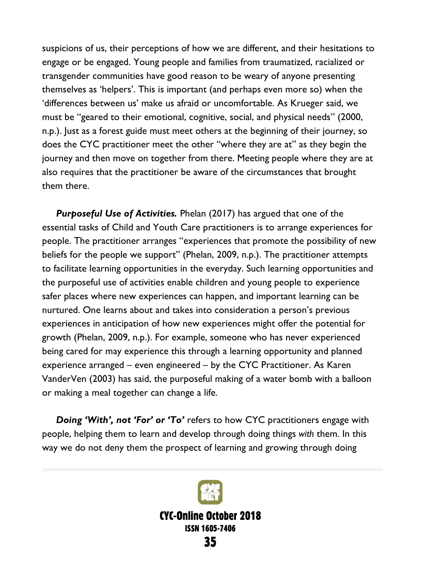suspicions of us, their perceptions of how we are different, and their hesitations to engage or be engaged. Young people and families from traumatized, racialized or transgender communities have good reason to be weary of anyone presenting themselves as 'helpers'. This is important (and perhaps even more so) when the 'differences between us' make us afraid or uncomfortable. As Krueger said, we must be "geared to their emotional, cognitive, social, and physical needs" (2000, n.p.). Just as a forest guide must meet others at the beginning of their journey, so does the CYC practitioner meet the other "where they are at" as they begin the journey and then move on together from there. Meeting people where they are at also requires that the practitioner be aware of the circumstances that brought them there.

*Purposeful Use of Activities.* Phelan (2017) has argued that one of the essential tasks of Child and Youth Care practitioners is to arrange experiences for people. The practitioner arranges "experiences that promote the possibility of new beliefs for the people we support" (Phelan, 2009, n.p.). The practitioner attempts to facilitate learning opportunities in the everyday. Such learning opportunities and the purposeful use of activities enable children and young people to experience safer places where new experiences can happen, and important learning can be nurtured. One learns about and takes into consideration a person's previous experiences in anticipation of how new experiences might offer the potential for growth (Phelan, 2009, n.p.). For example, someone who has never experienced being cared for may experience this through a learning opportunity and planned experience arranged – even engineered – by the CYC Practitioner. As Karen VanderVen (2003) has said, the purposeful making of a water bomb with a balloon or making a meal together can change a life.

*Doing 'With', not 'For' or 'To'* refers to how CYC practitioners engage with people, helping them to learn and develop through doing things *with* them. In this way we do not deny them the prospect of learning and growing through doing

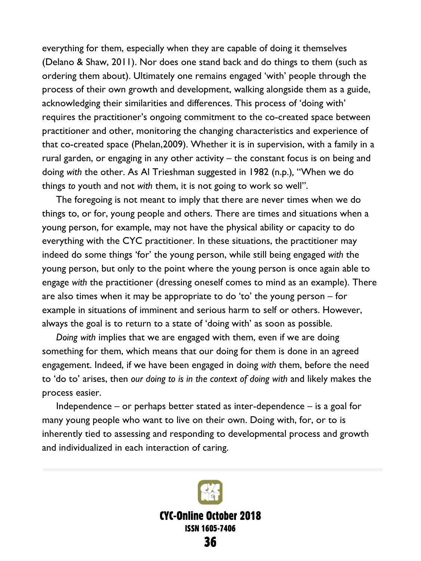everything for them, especially when they are capable of doing it themselves (Delano & Shaw, 2011). Nor does one stand back and do things to them (such as ordering them about). Ultimately one remains engaged 'with' people through the process of their own growth and development, walking alongside them as a guide, acknowledging their similarities and differences. This process of 'doing with' requires the practitioner's ongoing commitment to the co-created space between practitioner and other, monitoring the changing characteristics and experience of that co-created space (Phelan,2009). Whether it is in supervision, with a family in a rural garden, or engaging in any other activity – the constant focus is on being and doing *with* the other. As Al Trieshman suggested in 1982 (n.p.)*,* "When we do things *to* youth and not *with* them, it is not going to work so well".

The foregoing is not meant to imply that there are never times when we do things to, or for, young people and others. There are times and situations when a young person, for example, may not have the physical ability or capacity to do everything with the CYC practitioner. In these situations, the practitioner may indeed do some things 'for' the young person, while still being engaged *with* the young person, but only to the point where the young person is once again able to engage *with* the practitioner (dressing oneself comes to mind as an example). There are also times when it may be appropriate to do 'to' the young person – for example in situations of imminent and serious harm to self or others. However, always the goal is to return to a state of 'doing with' as soon as possible.

*Doing with* implies that we are engaged with them, even if we are doing something for them, which means that our doing for them is done in an agreed engagement. Indeed, if we have been engaged in doing *with* them, before the need to 'do to' arises, then *our doing to is in the context of doing with* and likely makes the process easier.

Independence – or perhaps better stated as inter-dependence – is a goal for many young people who want to live on their own. Doing with, for, or to is inherently tied to assessing and responding to developmental process and growth and individualized in each interaction of caring.

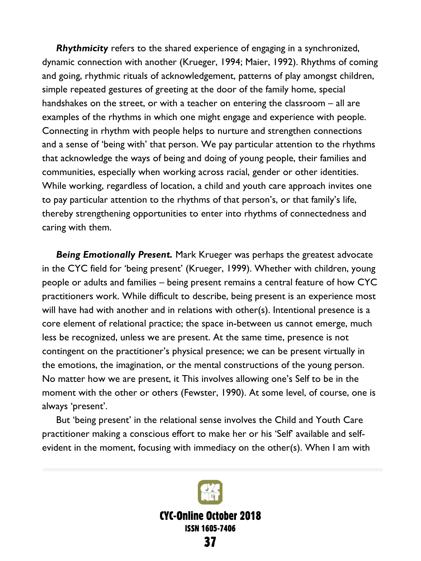*Rhythmicity* refers to the shared experience of engaging in a synchronized, dynamic connection with another (Krueger, 1994; Maier, 1992). Rhythms of coming and going, rhythmic rituals of acknowledgement, patterns of play amongst children, simple repeated gestures of greeting at the door of the family home, special handshakes on the street, or with a teacher on entering the classroom – all are examples of the rhythms in which one might engage and experience with people. Connecting in rhythm with people helps to nurture and strengthen connections and a sense of 'being with' that person. We pay particular attention to the rhythms that acknowledge the ways of being and doing of young people, their families and communities, especially when working across racial, gender or other identities. While working, regardless of location, a child and youth care approach invites one to pay particular attention to the rhythms of that person's, or that family's life, thereby strengthening opportunities to enter into rhythms of connectedness and caring with them.

*Being Emotionally Present.* Mark Krueger was perhaps the greatest advocate in the CYC field for 'being present' (Krueger, 1999). Whether with children, young people or adults and families – being present remains a central feature of how CYC practitioners work. While difficult to describe, being present is an experience most will have had with another and in relations with other(s). Intentional presence is a core element of relational practice; the space in-between us cannot emerge, much less be recognized, unless we are present. At the same time, presence is not contingent on the practitioner's physical presence; we can be present virtually in the emotions, the imagination, or the mental constructions of the young person. No matter how we are present, it This involves allowing one's Self to be in the moment with the other or others (Fewster, 1990). At some level, of course, one is always 'present'.

But 'being present' in the relational sense involves the Child and Youth Care practitioner making a conscious effort to make her or his 'Self' available and selfevident in the moment, focusing with immediacy on the other(s). When I am with

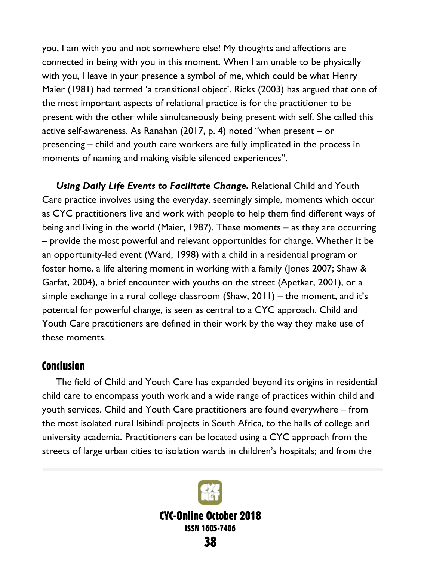you, I am with you and not somewhere else! My thoughts and affections are connected in being with you in this moment. When I am unable to be physically with you, I leave in your presence a symbol of me, which could be what Henry Maier (1981) had termed 'a transitional object'. Ricks (2003) has argued that one of the most important aspects of relational practice is for the practitioner to be present with the other while simultaneously being present with self. She called this active self-awareness. As Ranahan (2017, p. 4) noted "when present – or presencing – child and youth care workers are fully implicated in the process in moments of naming and making visible silenced experiences".

*Using Daily Life Events to Facilitate Change.* Relational Child and Youth Care practice involves using the everyday, seemingly simple, moments which occur as CYC practitioners live and work with people to help them find different ways of being and living in the world (Maier, 1987). These moments – as they are occurring – provide the most powerful and relevant opportunities for change. Whether it be an opportunity-led event (Ward, 1998) with a child in a residential program or foster home, a life altering moment in working with a family (Jones 2007; Shaw & Garfat, 2004), a brief encounter with youths on the street (Apetkar, 2001), or a simple exchange in a rural college classroom (Shaw, 2011) – the moment, and it's potential for powerful change, is seen as central to a CYC approach. Child and Youth Care practitioners are defined in their work by the way they make use of these moments.

## Conclusion

The field of Child and Youth Care has expanded beyond its origins in residential child care to encompass youth work and a wide range of practices within child and youth services. Child and Youth Care practitioners are found everywhere – from the most isolated rural Isibindi projects in South Africa, to the halls of college and university academia. Practitioners can be located using a CYC approach from the streets of large urban cities to isolation wards in children's hospitals; and from the

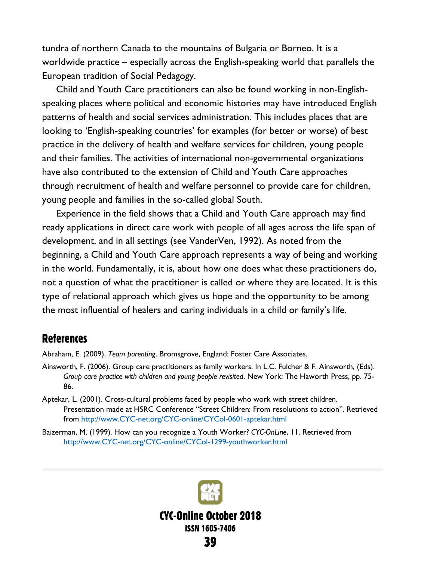tundra of northern Canada to the mountains of Bulgaria or Borneo. It is a worldwide practice – especially across the English-speaking world that parallels the European tradition of Social Pedagogy.

Child and Youth Care practitioners can also be found working in non-Englishspeaking places where political and economic histories may have introduced English patterns of health and social services administration. This includes places that are looking to 'English-speaking countries' for examples (for better or worse) of best practice in the delivery of health and welfare services for children, young people and their families. The activities of international non-governmental organizations have also contributed to the extension of Child and Youth Care approaches through recruitment of health and welfare personnel to provide care for children, young people and families in the so-called global South.

Experience in the field shows that a Child and Youth Care approach may find ready applications in direct care work with people of all ages across the life span of development, and in all settings (see VanderVen, 1992). As noted from the beginning, a Child and Youth Care approach represents a way of being and working in the world. Fundamentally, it is, about how one does what these practitioners do, not a question of what the practitioner is called or where they are located. It is this type of relational approach which gives us hope and the opportunity to be among the most influential of healers and caring individuals in a child or family's life.

## References

Abraham, E. (2009). *Team parenting*. Bromsgrove, England: Foster Care Associates.

- Ainsworth, F. (2006). Group care practitioners as family workers. In L.C. Fulcher & F. Ainsworth, (Eds). *Group care practice with children and young people revisited*. New York: The Haworth Press, pp. 75- 86.
- Aptekar, L. (2001). Cross-cultural problems faced by people who work with street children. Presentation made at HSRC Conference "Street Children: From resolutions to action". Retrieved from [http://www.CYC-net.org/CYC-online/CYCol-0601-aptekar.html](http://www.cyc-net.org/cyc-online/cycol-0601-aptekar.html)
- Baizerman, M. (1999). How can you recognize a Youth Worker? *CYC-OnLine*, 11. Retrieved from [http://www.CYC-net.org/CYC-online/CYCol-1299-youthworker.html](http://www.cyc-net.org/CYC-online/CYCol-1299-youthworker.html)

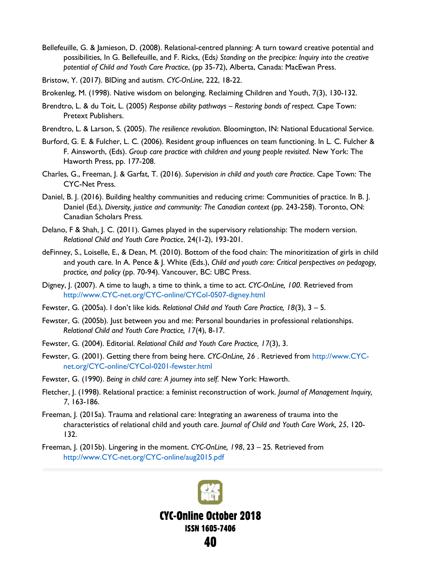Bellefeuille, G. & Jamieson, D. (2008). Relational-centred planning: A turn toward creative potential and possibilities, In G. Bellefeuille, and F. Ricks, (Eds*) Standing on the precipice: Inquiry into the creative potential of Child and Youth Care Practice*, (pp 35-72), Alberta, Canada: MacEwan Press.

Bristow, Y. (2017). BIDing and autism. *CYC-OnLine*, 222, 18-22.

- Brokenleg, M. (1998). Native wisdom on belonging. Reclaiming Children and Youth, 7(3), 130-132.
- Brendtro, L. & du Toit, L. (2005) *Response ability pathways – Restoring bonds of respect.* Cape Town: Pretext Publishers.
- Brendtro, L. & Larson, S. (2005). *The resilience revolution*. Bloomington, IN: National Educational Service.
- Burford, G. E. & Fulcher, L. C. (2006). Resident group influences on team functioning. In L. C. Fulcher & F. Ainsworth, (Eds). *Group care practice with children and young people revisited*. New York: The Haworth Press, pp. 177-208.
- Charles, G., Freeman, J. & Garfat, T. (2016). *Supervision in child and youth care Practice*. Cape Town: The CYC-Net Press.
- Daniel, B. J. (2016). Building healthy communities and reducing crime: Communities of practice. In B. J. Daniel (Ed.), *Diversity, justice and community: The Canadian context* (pp. 243-258). Toronto, ON: Canadian Scholars Press.
- Delano, F & Shah, J. C. (2011). Games played in the supervisory relationship: The modern version. *Relational Child and Youth Care Practice*, 24(1-2), 193-201.
- deFinney, S., Loiselle, E., & Dean, M. (2010). Bottom of the food chain: The minoritization of girls in child and youth care. In A. Pence & J. White (Eds.), *Child and youth care: Critical perspectives on pedagogy, practice, and policy* (pp. 70-94). Vancouver, BC: UBC Press.
- Digney, J. (2007). A time to laugh, a time to think, a time to act. *CYC-OnLine, 100.* Retrieved from [http://www.CYC-net.org/CYC-online/CYCol-0507-digney.html](http://www.cyc-net.org/CYC-online/CYCol-0507-digney.html)
- Fewster, G. (2005a). I don't like kids. *Relational Child and Youth Care Practice, 18*(3), 3 5.
- Fewster, G. (2005b). Just between you and me: Personal boundaries in professional relationships. *Relational Child and Youth Care Practice, 17*(4), 8-17.
- Fewster, G. (2004). Editorial. *Relational Child and Youth Care Practice, 17*(3), 3.
- Fewster, G. (2001). Getting there from being here. *CYC-OnLine, 26* . Retrieved fro[m http://www.CYC](http://www.cyc-net.org/CYC-online/CYCol-0201-fewster.html)[net.org/CYC-online/CYCol-0201-fewster.html](http://www.cyc-net.org/CYC-online/CYCol-0201-fewster.html)
- Fewster, G. (1990). *Being in child care: A journey into self*. New York: Haworth.
- Fletcher, J. (1998). Relational practice: a feminist reconstruction of work. *Journal of Management Inquiry, 7*, 163-186.
- Freeman, J. (2015a). Trauma and relational care: Integrating an awareness of trauma into the characteristics of relational child and youth care. *Journal of Child and Youth Care Work, 25*, 120- 132.
- Freeman, J. (2015b). Lingering in the moment. *CYC-OnLine, 198*, 23 25. Retrieved from [http://www.CYC-net.org/CYC-online/aug2015.pdf](http://www.cyc-net.org/CYC-online/aug2015.pdf)

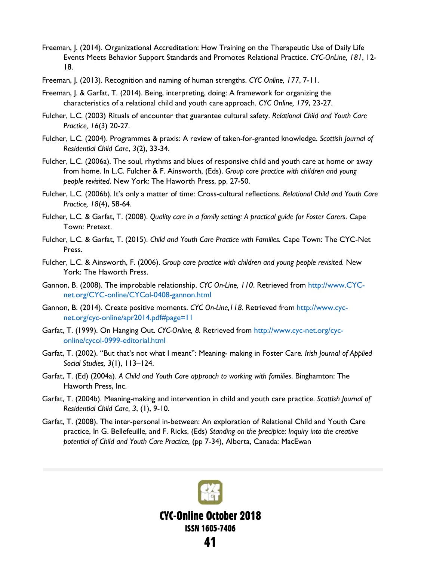- Freeman, J. (2014). Organizational Accreditation: How Training on the Therapeutic Use of Daily Life Events Meets Behavior Support Standards and Promotes Relational Practice. *CYC-OnLine, 181*, 12- 18.
- Freeman, J. (2013). Recognition and naming of human strengths. *CYC Online, 177*, 7-11.
- Freeman, J. & Garfat, T. (2014). Being, interpreting, doing: A framework for organizing the characteristics of a relational child and youth care approach. *CYC Online, 179*, 23-27.
- Fulcher, L.C. (2003) Rituals of encounter that guarantee cultural safety. *Relational Child and Youth Care Practice, 16*(3) 20-27.
- Fulcher, L.C. (2004). Programmes & praxis: A review of taken-for-granted knowledge. *Scottish Journal of Residential Child Care*, *3*(2), 33-34.
- Fulcher, L.C. (2006a). The soul, rhythms and blues of responsive child and youth care at home or away from home. In L.C. Fulcher & F. Ainsworth, (Eds). *Group care practice with children and young people revisited*. New York: The Haworth Press, pp. 27-50.
- Fulcher, L.C. (2006b). It's only a matter of time: Cross-cultural reflections. *Relational Child and Youth Care Practice, 18*(4), 58-64.
- Fulcher, L.C. & Garfat, T. (2008). *Quality care in a family setting: A practical guide for Foster Carers*. Cape Town: Pretext.
- Fulcher, L.C. & Garfat, T. (2015). *Child and Youth Care Practice with Families.* Cape Town: The CYC-Net Press.
- Fulcher, L.C. & Ainsworth, F. (2006). *Group care practice with children and young people revisited.* New York: The Haworth Press.
- Gannon, B. (2008). The improbable relationship. *CYC On-Line, 110*. Retrieved fro[m http://www.CYC](http://www.cyc-net.org/CYC-online/CYCol-0408-gannon.html)[net.org/CYC-online/CYCol-0408-gannon.html](http://www.cyc-net.org/CYC-online/CYCol-0408-gannon.html)
- Gannon, B. (2014). Create positive moments. *CYC On-Line,118.* Retrieved from [http://www.cyc](http://www.cyc-net.org/cyc-online/apr2014.pdf#page=11)[net.org/cyc-online/apr2014.pdf#page=11](http://www.cyc-net.org/cyc-online/apr2014.pdf#page=11)
- Garfat, T. (1999). On Hanging Out. *CYC-Online, 8.* Retrieved fro[m http://www.cyc-net.org/cyc](http://www.cyc-net.org/cyc-online/cycol-0999-editorial.html)[online/cycol-0999-editorial.html](http://www.cyc-net.org/cyc-online/cycol-0999-editorial.html)
- Garfat, T. (2002). "But that's not what I meant'': Meaning- making in Foster Care*. Irish Journal of Applied Social Studies, 3*(1), 113–124.
- Garfat, T. (Ed) (2004a). *A Child and Youth Care approach to working with families*. Binghamton: The Haworth Press, Inc.
- Garfat, T. (2004b). Meaning-making and intervention in child and youth care practice. *Scottish Journal of Residential Child Care, 3*, (1), 9-10.
- Garfat, T. (2008). The inter-personal in-between: An exploration of Relational Child and Youth Care practice, In G. Bellefeuille, and F. Ricks, (Eds) *Standing on the precipice: Inquiry into the creative potential of Child and Youth Care Practice*, (pp 7-34), Alberta, Canada: MacEwan

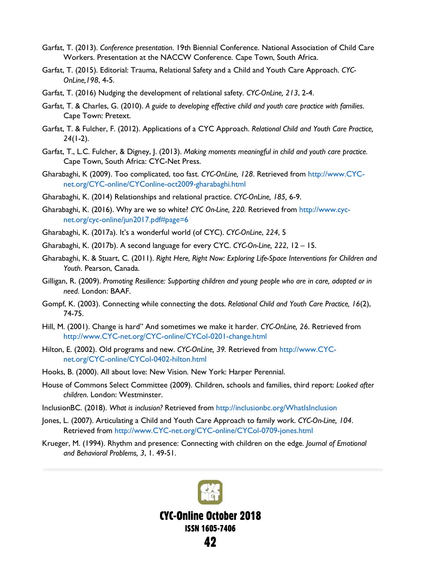- Garfat, T. (2013). *Conference presentation*. 19th Biennial Conference. National Association of Child Care Workers. Presentation at the NACCW Conference. Cape Town, South Africa.
- Garfat, T. (2015). Editorial: Trauma, Relational Safety and a Child and Youth Care Approach. *CYC-OnLine,198*, 4-5.
- Garfat, T. (2016) Nudging the development of relational safety. *CYC-OnLine, 213*, 2-4.
- Garfat, T. & Charles, G. (2010). *A guide to developing effective child and youth care practice with families*. Cape Town: Pretext.
- Garfat, T. & Fulcher, F. (2012). Applications of a CYC Approach. *Relational Child and Youth Care Practice, 24*(1-2).
- Garfat, T., L.C. Fulcher, & Digney, J. (2013). *Making moments meaningful in child and youth care practice.* Cape Town, South Africa: CYC-Net Press.
- Gharabaghi, K (2009). Too complicated, too fast. *CYC-OnLine, 128*. Retrieved fro[m http://www.CYC](http://www.cyc-net.org/CYC-online/CYConline-oct2009-gharabaghi.html)[net.org/CYC-online/CYConline-oct2009-gharabaghi.html](http://www.cyc-net.org/CYC-online/CYConline-oct2009-gharabaghi.html)
- Gharabaghi, K. (2014) Relationships and relational practice. *CYC-OnLine, 185,* 6-9.
- Gharabaghi, K. (2016). Why are we so white? *CYC On-Line, 220.* Retrieved fro[m http://www.cyc](http://www.cyc-net.org/cyc-online/jun2017.pdf#page=6)[net.org/cyc-online/jun2017.pdf#page=6](http://www.cyc-net.org/cyc-online/jun2017.pdf#page=6)
- Gharabaghi, K. (2017a). It's a wonderful world (of CYC). *CYC-OnLine*, *224*, 5
- Gharabaghi, K. (2017b). A second language for every CYC. *CYC-On-Line, 222*, 12 15.
- Gharabaghi, K. & Stuart, C. (2011). *Right Here, Right Now: Exploring Life-Space Interventions for Children and Youth*. Pearson, Canada.
- Gilligan, R. (2009). *Promoting Resilience: Supporting children and young people who are in care, adopted or in need*. London: BAAF.
- Gompf, K. (2003). Connecting while connecting the dots. *Relational Child and Youth Care Practice, 16*(2), 74-75.
- Hill, M. (2001). Change is hard" And sometimes we make it harder. *CYC-OnLine, 26*. Retrieved from [http://www.CYC-net.org/CYC-online/CYCol-0201-change.html](http://www.cyc-net.org/CYC-online/CYCol-0201-change.html)
- Hilton, E. (2002). Old programs and new. *CYC-OnLine, 39.* Retrieved fro[m http://www.CYC](http://www.cyc-net.org/cyc-online/cycol-0402-hilton.html)[net.org/CYC-online/CYCol-0402-hilton.html](http://www.cyc-net.org/cyc-online/cycol-0402-hilton.html)
- Hooks, B. (2000). All about love: New Vision. New York: Harper Perennial.
- House of Commons Select Committee (2009). Children, schools and families, third report: *Looked after children*. London: Westminster.
- InclusionBC. (2018). *What is inclusion?* Retrieved fro[m http://inclusionbc.org/WhatIsInclusion](http://inclusionbc.org/WhatIsInclusion)
- Jones, L. (2007). Articulating a Child and Youth Care Approach to family work. *CYC-On-Line, 104*. Retrieved from [http://www.CYC-net.org/CYC-online/CYCol-0709-jones.html](http://www.cyc-net.org/cyc-online/cycol-0709-jones.html)
- Krueger, M. (1994). Rhythm and presence: Connecting with children on the edge. *Journal of Emotional and Behavioral Problems, 3*, 1. 49-51.

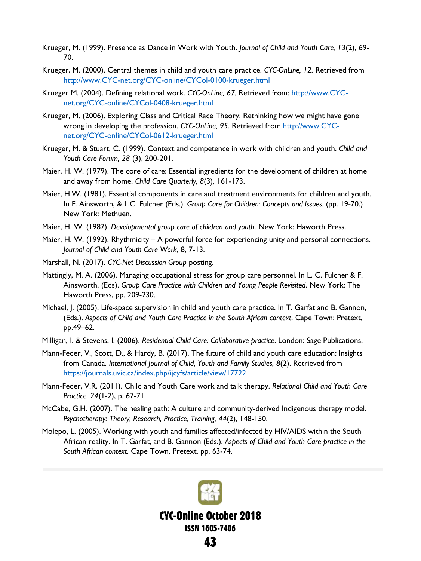- Krueger, M. (1999). Presence as Dance in Work with Youth. *Journal of Child and Youth Care, 13*(2), 69- 70.
- Krueger, M. (2000). Central themes in child and youth care practice. *CYC-OnLine, 12.* Retrieved from [http://www.CYC-net.org/CYC-online/CYCol-0100-krueger.html](http://www.cyc-net.org/CYC-online/CYCol-0100-krueger.html)
- Krueger M. (2004). Defining relational work. *CYC-OnLine, 67.* Retrieved from[: http://www.CYC](http://www.cyc-net.org/CYC-online/CYCol-0408-krueger.html)[net.org/CYC-online/CYCol-0408-krueger.html](http://www.cyc-net.org/CYC-online/CYCol-0408-krueger.html)
- Krueger, M. (2006). Exploring Class and Critical Race Theory: Rethinking how we might have gone wrong in developing the profession. *CYC-OnLine, 95*. Retrieved from [http://www.CYC](http://www.cyc-net.org/CYC-online/CYCol-0612-krueger.html)[net.org/CYC-online/CYCol-0612-krueger.html](http://www.cyc-net.org/CYC-online/CYCol-0612-krueger.html)
- Krueger, M. & Stuart, C. (1999). Context and competence in work with children and youth. *Child and Youth Care Forum, 28* (3), 200-201.
- Maier, H. W. (1979). The core of care: Essential ingredients for the development of children at home and away from home. *Child Care Quarterly, 8*(3), 161-173.
- Maier, H.W. (1981). Essential components in care and treatment environments for children and youth. In F. Ainsworth, & L.C. Fulcher (Eds.). *Group Care for Children: Concepts and lssues.* (pp. 19-70.) New York: Methuen.
- Maier, H. W. (1987). *Developmental group care of children and youth*. New York: Haworth Press.
- Maier, H. W. (1992). Rhythmicity A powerful force for experiencing unity and personal connections. *Journal of Child and Youth Care Work*, 8, 7-13.
- Marshall, N. (2017). *CYC-Net Discussion Group* posting.
- Mattingly, M. A. (2006). Managing occupational stress for group care personnel. In L. C. Fulcher & F. Ainsworth, (Eds). *Group Care Practice with Children and Young People Revisited*. New York: The Haworth Press, pp. 209-230.
- Michael, J. (2005). Life-space supervision in child and youth care practice. In T. Garfat and B. Gannon, (Eds.). *Aspects of Child and Youth Care Practice in the South African context*. Cape Town: Pretext, pp.49–62.
- Milligan, I. & Stevens, I. (2006). *Residential Child Care: Collaborative practice*. London: Sage Publications.
- Mann-Feder, V., Scott, D., & Hardy, B. (2017). The future of child and youth care education: Insights from Canada. *International Journal of Child, Youth and Family Studies, 8*(2). Retrieved from <https://journals.uvic.ca/index.php/ijcyfs/article/view/17722>
- Mann-Feder, V.R. (2011). Child and Youth Care work and talk therapy. *Relational Child and Youth Care Practice, 24*(1-2), p. 67-71
- McCabe, G.H. (2007). The healing path: A culture and community-derived Indigenous therapy model. *Psychotherapy: Theory, Research, Practice, Training, 44*(2), 148-150.
- Molepo, L. (2005). Working with youth and families affected/infected by HIV/AIDS within the South African reality. In T. Garfat, and B. Gannon (Eds.). *Aspects of Child and Youth Care practice in the South African context*. Cape Town. Pretext. pp. 63-74.

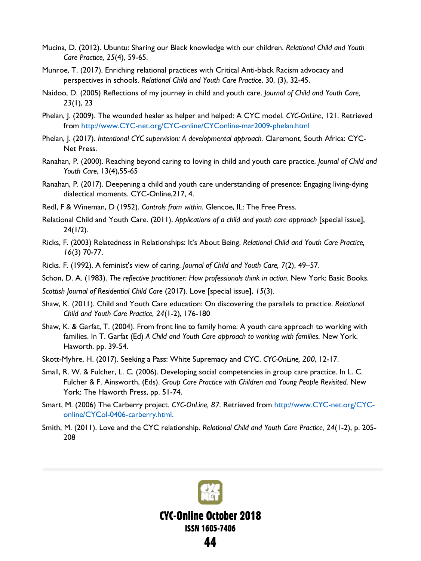- Mucina, D. (2012). Ubuntu: Sharing our Black knowledge with our children. *Relational Child and Youth Care Practice, 25*(4), 59-65.
- Munroe, T. (2017). Enriching relational practices with Critical Anti-black Racism advocacy and perspectives in schools. *Relational Child and Youth Care Practice*, 30, (3), 32-45.
- Naidoo, D. (2005) Reflections of my journey in child and youth care. *Journal of Child and Youth Care, 23*(1), 23
- Phelan, J. (2009). The wounded healer as helper and helped: A CYC model. *CYC-OnLine*, 121. Retrieved fro[m http://www.CYC-net.org/CYC-online/CYConline-mar2009-phelan.html](http://www.cyc-net.org/CYC-online/CYConline-mar2009-phelan.html)
- Phelan, J. (2017). *Intentional CYC supervision: A developmental approach.* Claremont, South Africa: CYC-Net Press.
- Ranahan, P. (2000). Reaching beyond caring to loving in child and youth care practice. *Journal of Child and Youth Care*, 13(4),55-65
- Ranahan, P. (2017). Deepening a child and youth care understanding of presence: Engaging living-dying dialectical moments. CYC-Online,217, 4.
- Redl, F & Wineman, D (1952). *Controls from within*. Glencoe, IL: The Free Press.
- Relational Child and Youth Care. (2011). *Applications of a child and youth care approach* [special issue], 24(1/2).
- Ricks, F. (2003) Relatedness in Relationships: It's About Being. *Relational Child and Youth Care Practice, 16*(3) 70-77.
- Ricks. F. (1992). A feminist's view of caring. *Journal of Child and Youth Care, 7*(2), 49–57.
- Schon, D. A. (1983). *The reflective practitioner: How professionals think in action*. New York: Basic Books.
- *Scottish Journal of Residential Child Care* (2017). Love [special issue], *15*(3).
- Shaw, K. (2011). Child and Youth Care education: On discovering the parallels to practice. *Relational Child and Youth Care Practice, 24*(1-2), 176-180
- Shaw, K. & Garfat, T. (2004). From front line to family home: A youth care approach to working with families. In T. Garfat (Ed) *A Child and Youth Care approach to working with families*. New York. Haworth. pp. 39-54.
- Skott-Myhre, H. (2017). Seeking a Pass: White Supremacy and CYC. *CYC-OnLine, 200*, 12-17.
- Small, R. W. & Fulcher, L. C. (2006). Developing social competencies in group care practice. In L. C. Fulcher & F. Ainsworth, (Eds). *Group Care Practice with Children and Young People Revisited*. New York: The Haworth Press, pp. 51-74.
- Smart, M. (2006) The Carberry project. *CYC-OnLine, 87*. Retrieved fro[m http://www.CYC-net.org/CYC](http://www.cyc-net.org/cyc-online/cycol-0406-carberry.html)[online/CYCol-0406-carberry.html.](http://www.cyc-net.org/cyc-online/cycol-0406-carberry.html)
- Smith, M. (2011). Love and the CYC relationship. *Relational Child and Youth Care Practice, 24*(1-2), p. 205- 208